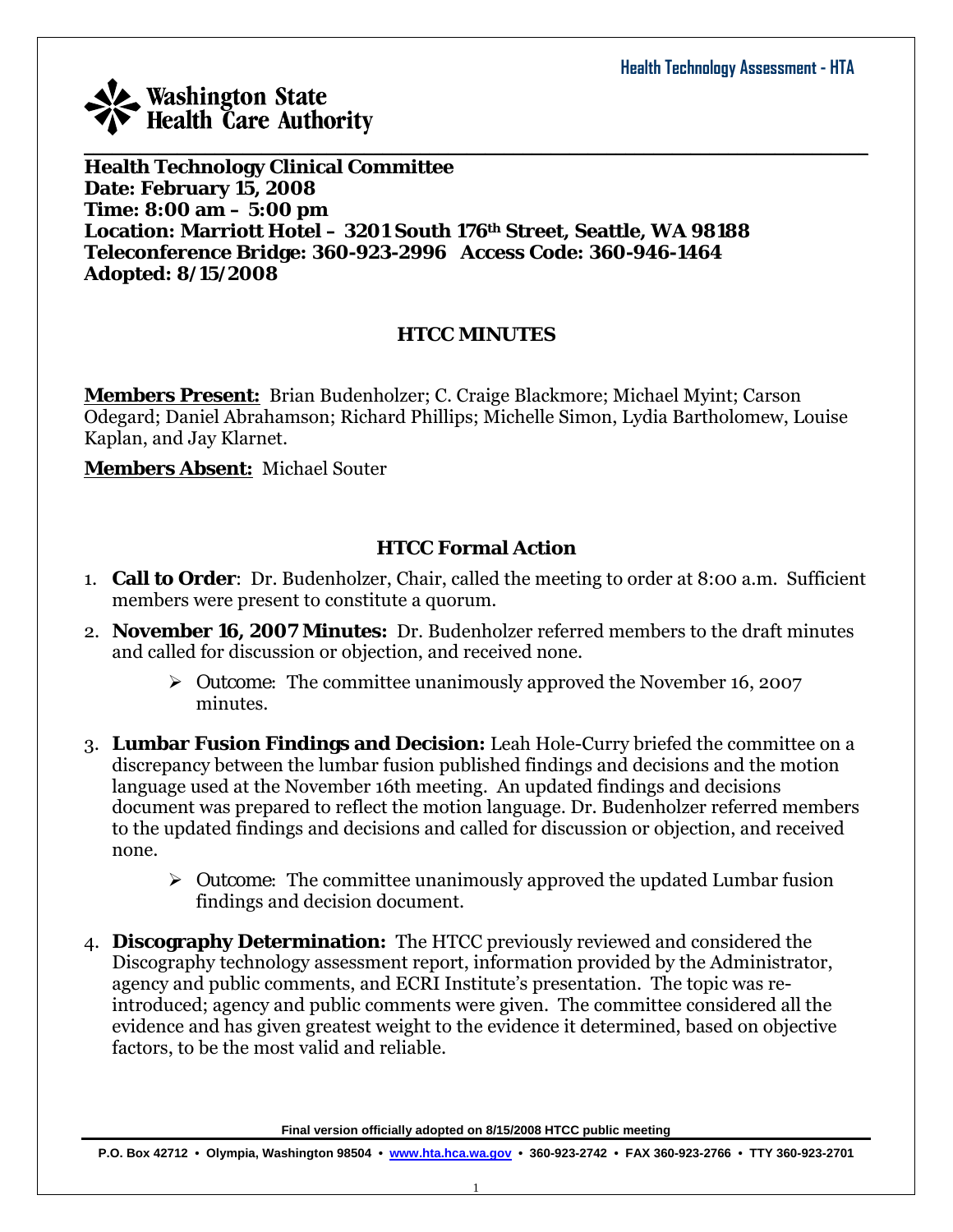

**Health Technology Clinical Committee Date: February 15, 2008 Time: 8:00 am – 5:00 pm Location: Marriott Hotel – 3201 South 176th Street, Seattle, WA 98188 Teleconference Bridge: 360-923-2996 Access Code: 360-946-1464 Adopted: 8/15/2008** 

### **HTCC MINUTES**

 $\_$  , and the set of the set of the set of the set of the set of the set of the set of the set of the set of the set of the set of the set of the set of the set of the set of the set of the set of the set of the set of th

**Members Present:** Brian Budenholzer; C. Craige Blackmore; Michael Myint; Carson Odegard; Daniel Abrahamson; Richard Phillips; Michelle Simon, Lydia Bartholomew, Louise Kaplan, and Jay Klarnet.

**Members Absent:** Michael Souter

### **HTCC Formal Action**

- 1. **Call to Order**: Dr. Budenholzer, Chair, called the meeting to order at 8:00 a.m. Sufficient members were present to constitute a quorum.
- 2. **November 16, 2007 Minutes:** Dr. Budenholzer referred members to the draft minutes and called for discussion or objection, and received none.
	- ¾ *Outcome:* The committee unanimously approved the November 16, 2007 minutes.
- 3. **Lumbar Fusion Findings and Decision:** Leah Hole-Curry briefed the committee on a discrepancy between the lumbar fusion published findings and decisions and the motion language used at the November 16th meeting. An updated findings and decisions document was prepared to reflect the motion language. Dr. Budenholzer referred members to the updated findings and decisions and called for discussion or objection, and received none.
	- ¾ *Outcome:* The committee unanimously approved the updated Lumbar fusion findings and decision document.
- 4. **Discography Determination:** The HTCC previously reviewed and considered the Discography technology assessment report, information provided by the Administrator, agency and public comments, and ECRI Institute's presentation. The topic was reintroduced; agency and public comments were given. The committee considered all the evidence and has given greatest weight to the evidence it determined, based on objective factors, to be the most valid and reliable.

**Final version officially adopted on 8/15/2008 HTCC public meeting**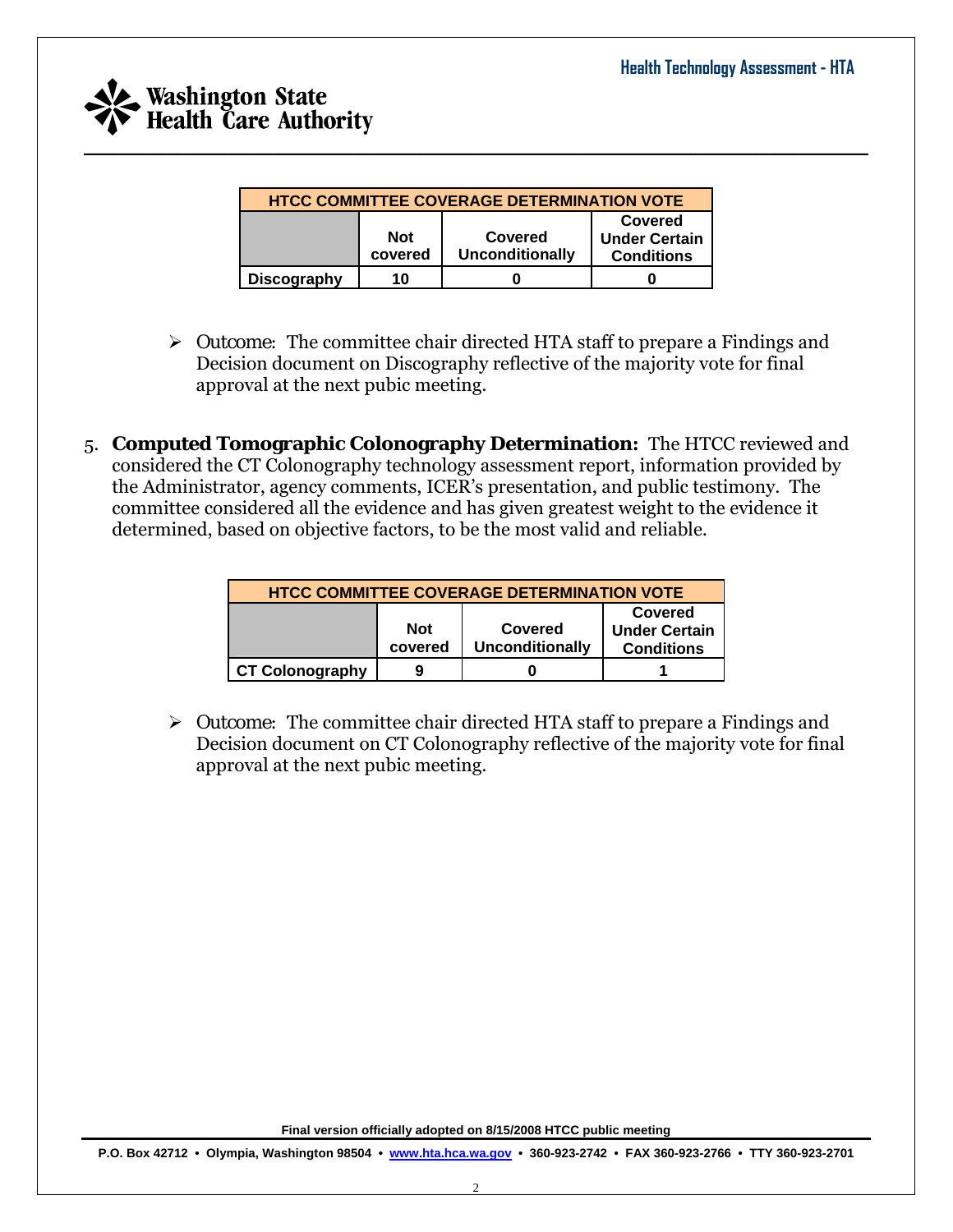

| <b>HTCC COMMITTEE COVERAGE DETERMINATION VOTE</b> |                                                                                                                    |  |  |  |  |
|---------------------------------------------------|--------------------------------------------------------------------------------------------------------------------|--|--|--|--|
|                                                   | Covered<br><b>Not</b><br>Covered<br><b>Under Certain</b><br>covered<br><b>Unconditionally</b><br><b>Conditions</b> |  |  |  |  |
| <b>Discography</b>                                | 10                                                                                                                 |  |  |  |  |

 $\_$  , and the set of the set of the set of the set of the set of the set of the set of the set of the set of the set of the set of the set of the set of the set of the set of the set of the set of the set of the set of th

- ¾ *Outcome:* The committee chair directed HTA staff to prepare a Findings and Decision document on Discography reflective of the majority vote for final approval at the next pubic meeting.
- 5. **Computed Tomographic Colonography Determination:** The HTCC reviewed and considered the CT Colonography technology assessment report, information provided by the Administrator, agency comments, ICER's presentation, and public testimony. The committee considered all the evidence and has given greatest weight to the evidence it determined, based on objective factors, to be the most valid and reliable.

| <b>HTCC COMMITTEE COVERAGE DETERMINATION VOTE</b>                                                                  |  |  |  |  |  |
|--------------------------------------------------------------------------------------------------------------------|--|--|--|--|--|
| Covered<br><b>Not</b><br><b>Under Certain</b><br>Covered<br>covered<br><b>Unconditionally</b><br><b>Conditions</b> |  |  |  |  |  |
| <b>CT Colonography</b>                                                                                             |  |  |  |  |  |

¾ *Outcome:* The committee chair directed HTA staff to prepare a Findings and Decision document on CT Colonography reflective of the majority vote for final approval at the next pubic meeting.

**Final version officially adopted on 8/15/2008 HTCC public meeting**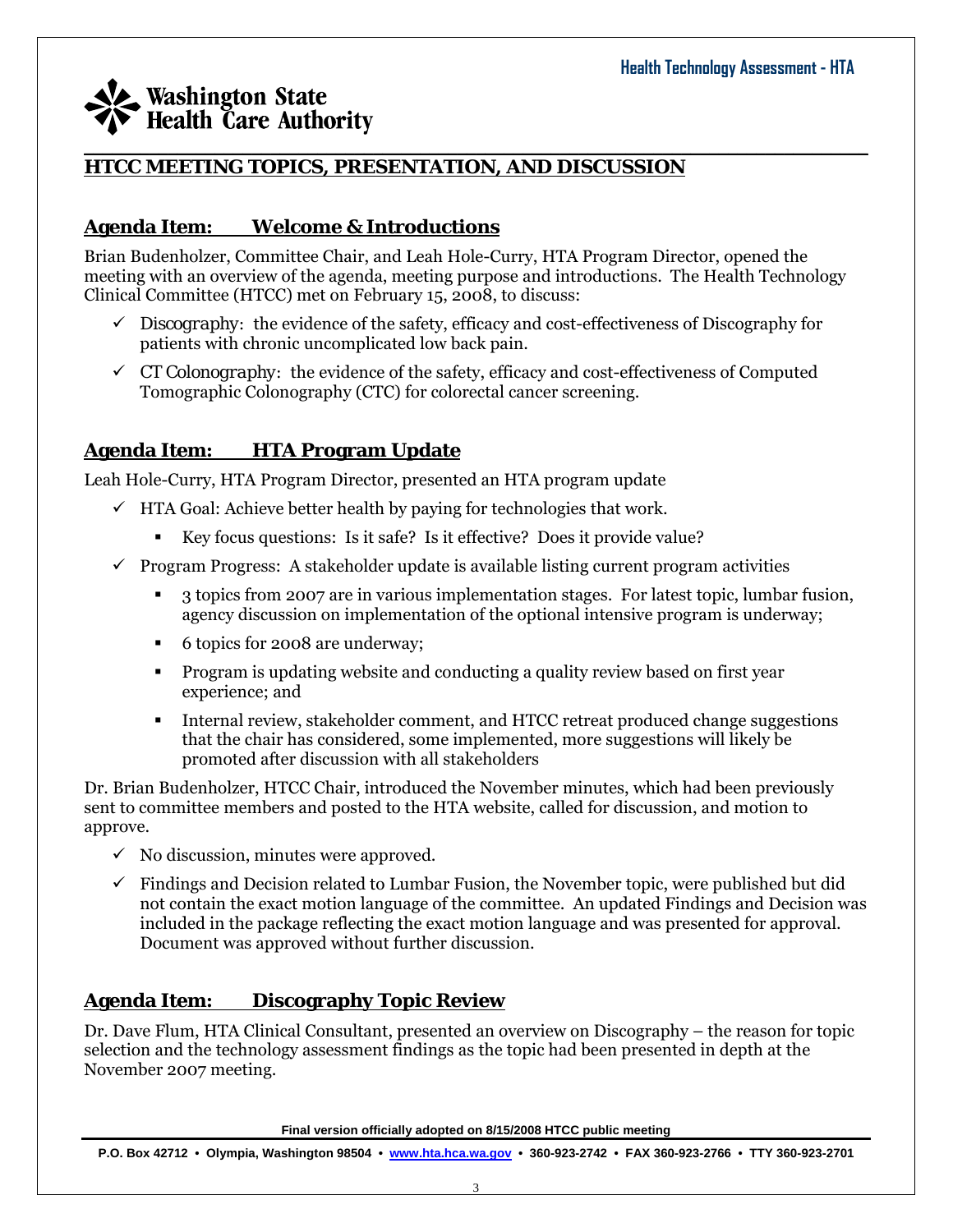#### $\_$  , and the set of the set of the set of the set of the set of the set of the set of the set of the set of the set of the set of the set of the set of the set of the set of the set of the set of the set of the set of th **HTCC MEETING TOPICS, PRESENTATION, AND DISCUSSION**

### **Agenda Item: Welcome & Introductions**

Brian Budenholzer, Committee Chair, and Leah Hole-Curry, HTA Program Director, opened the meeting with an overview of the agenda, meeting purpose and introductions. The Health Technology Clinical Committee (HTCC) met on February 15, 2008, to discuss:

- $\checkmark$  *Discography:* the evidence of the safety, efficacy and cost-effectiveness of Discography for patients with chronic uncomplicated low back pain.
- $\checkmark$  *CT Colonography:* the evidence of the safety, efficacy and cost-effectiveness of Computed Tomographic Colonography (CTC) for colorectal cancer screening.

### **Agenda Item: HTA Program Update**

Leah Hole-Curry, HTA Program Director, presented an HTA program update

- $\checkmark$  HTA Goal: Achieve better health by paying for technologies that work.
	- Key focus questions: Is it safe? Is it effective? Does it provide value?
- $\checkmark$  Program Progress: A stakeholder update is available listing current program activities
	- 3 topics from 2007 are in various implementation stages. For latest topic, lumbar fusion, agency discussion on implementation of the optional intensive program is underway;
	- 6 topics for 2008 are underway;
	- Program is updating website and conducting a quality review based on first year experience; and
	- Internal review, stakeholder comment, and HTCC retreat produced change suggestions that the chair has considered, some implemented, more suggestions will likely be promoted after discussion with all stakeholders

Dr. Brian Budenholzer, HTCC Chair, introduced the November minutes, which had been previously sent to committee members and posted to the HTA website, called for discussion, and motion to approve.

- $\checkmark$  No discussion, minutes were approved.
- $\checkmark$  Findings and Decision related to Lumbar Fusion, the November topic, were published but did not contain the exact motion language of the committee. An updated Findings and Decision was included in the package reflecting the exact motion language and was presented for approval. Document was approved without further discussion.

### **Agenda Item: Discography Topic Review**

Dr. Dave Flum, HTA Clinical Consultant, presented an overview on Discography – the reason for topic selection and the technology assessment findings as the topic had been presented in depth at the November 2007 meeting.

**Final version officially adopted on 8/15/2008 HTCC public meeting**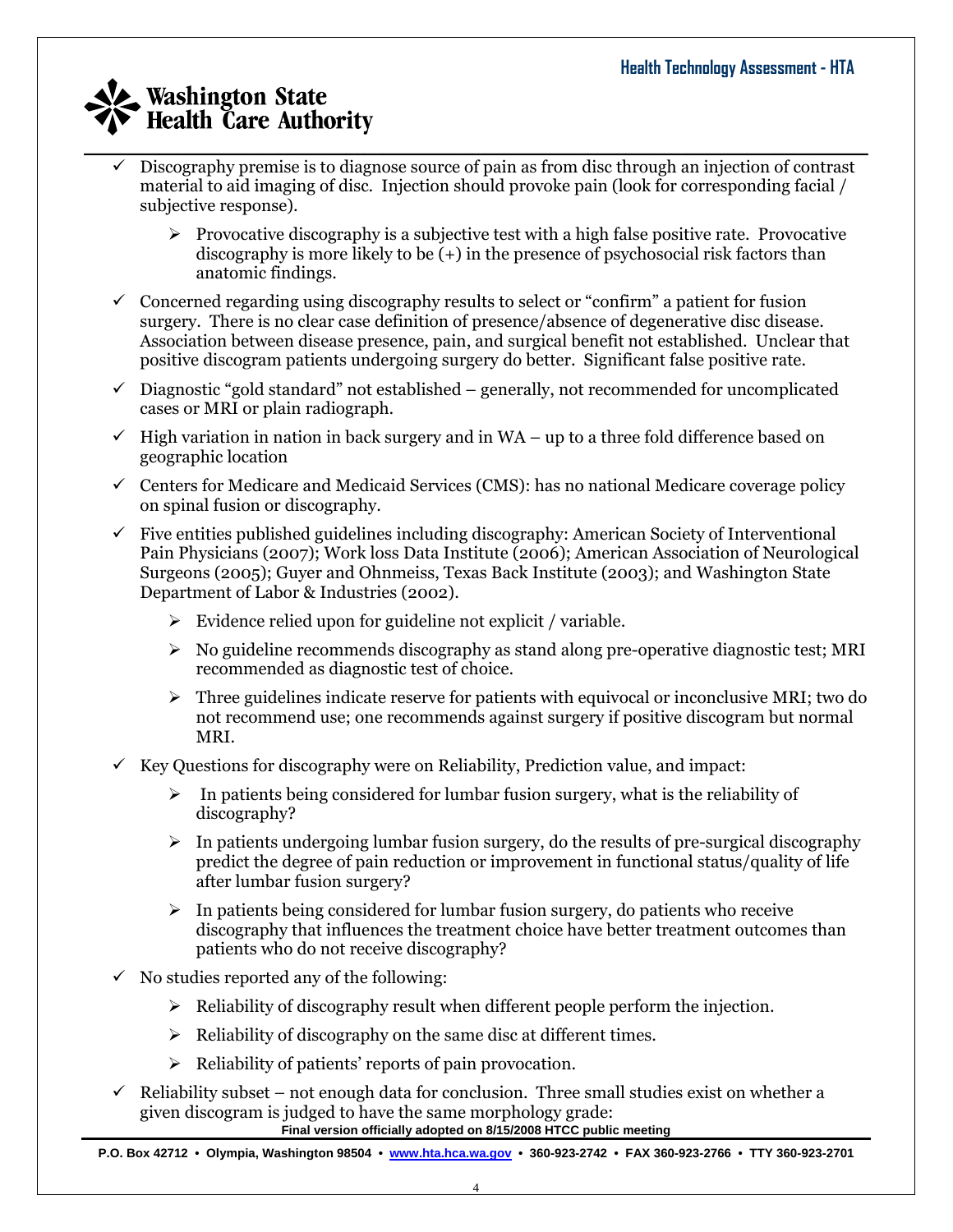- $\_$  , and the set of the set of the set of the set of the set of the set of the set of the set of the set of the set of the set of the set of the set of the set of the set of the set of the set of the set of the set of th 9 Discography premise is to diagnose source of pain as from disc through an injection of contrast material to aid imaging of disc. Injection should provoke pain (look for corresponding facial / subjective response).
	- $\triangleright$  Provocative discography is a subjective test with a high false positive rate. Provocative discography is more likely to be (+) in the presence of psychosocial risk factors than anatomic findings.
	- $\checkmark$  Concerned regarding using discography results to select or "confirm" a patient for fusion surgery. There is no clear case definition of presence/absence of degenerative disc disease. Association between disease presence, pain, and surgical benefit not established. Unclear that positive discogram patients undergoing surgery do better. Significant false positive rate.
	- $\checkmark$  Diagnostic "gold standard" not established generally, not recommended for uncomplicated cases or MRI or plain radiograph.
	- $\checkmark$  High variation in nation in back surgery and in WA up to a three fold difference based on geographic location
	- $\checkmark$  Centers for Medicare and Medicaid Services (CMS): has no national Medicare coverage policy on spinal fusion or discography.
	- $\checkmark$  Five entities published guidelines including discography: American Society of Interventional Pain Physicians (2007); Work loss Data Institute (2006); American Association of Neurological Surgeons (2005); Guyer and Ohnmeiss, Texas Back Institute (2003); and Washington State Department of Labor & Industries (2002).
		- $\triangleright$  Evidence relied upon for guideline not explicit / variable.
		- ¾ No guideline recommends discography as stand along pre-operative diagnostic test; MRI recommended as diagnostic test of choice.
		- $\triangleright$  Three guidelines indicate reserve for patients with equivocal or inconclusive MRI; two do not recommend use; one recommends against surgery if positive discogram but normal MRI.
	- $\checkmark$  Key Questions for discography were on Reliability, Prediction value, and impact:
		- $\triangleright$  In patients being considered for lumbar fusion surgery, what is the reliability of discography?
		- $\triangleright$  In patients undergoing lumbar fusion surgery, do the results of pre-surgical discography predict the degree of pain reduction or improvement in functional status/quality of life after lumbar fusion surgery?
		- $\triangleright$  In patients being considered for lumbar fusion surgery, do patients who receive discography that influences the treatment choice have better treatment outcomes than patients who do not receive discography?
	- $\checkmark$  No studies reported any of the following:
		- $\triangleright$  Reliability of discography result when different people perform the injection.
		- $\triangleright$  Reliability of discography on the same disc at different times.
		- $\triangleright$  Reliability of patients' reports of pain provocation.
	- $\checkmark$  Reliability subset not enough data for conclusion. Three small studies exist on whether a given discogram is judged to have the same morphology grade:

**Final version officially adopted on 8/15/2008 HTCC public meeting**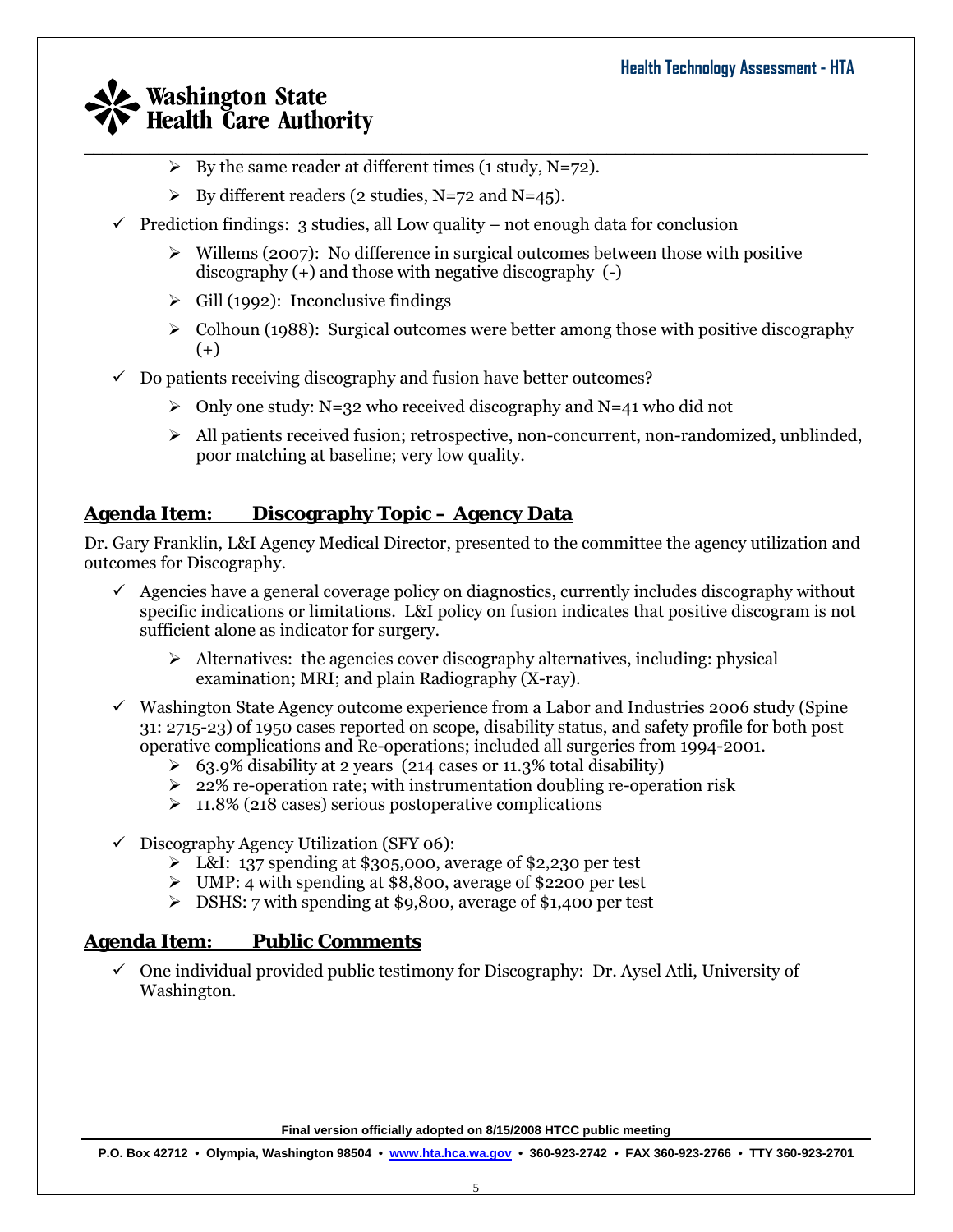- $\_$  , and the set of the set of the set of the set of the set of the set of the set of the set of the set of the set of the set of the set of the set of the set of the set of the set of the set of the set of the set of th  $\triangleright$  By the same reader at different times (1 study, N=72).
	- $\triangleright$  By different readers (2 studies, N=72 and N=45).
	- $\checkmark$  Prediction findings: 3 studies, all Low quality not enough data for conclusion
		- $\triangleright$  Willems (2007): No difference in surgical outcomes between those with positive discography (+) and those with negative discography (-)
		- $\triangleright$  Gill (1992): Inconclusive findings
		- $\triangleright$  Colhoun (1988): Surgical outcomes were better among those with positive discography (+)
	- $\checkmark$  Do patients receiving discography and fusion have better outcomes?
		- $\geq$  Only one study: N=32 who received discography and N=41 who did not
		- ¾ All patients received fusion; retrospective, non-concurrent, non-randomized, unblinded, poor matching at baseline; very low quality.

### **Agenda Item: Discography Topic – Agency Data**

Dr. Gary Franklin, L&I Agency Medical Director, presented to the committee the agency utilization and outcomes for Discography.

- $\checkmark$  Agencies have a general coverage policy on diagnostics, currently includes discography without specific indications or limitations. L&I policy on fusion indicates that positive discogram is not sufficient alone as indicator for surgery.
	- $\triangleright$  Alternatives: the agencies cover discography alternatives, including: physical examination; MRI; and plain Radiography (X-ray).
- $\checkmark$  Washington State Agency outcome experience from a Labor and Industries 2006 study (Spine 31: 2715-23) of 1950 cases reported on scope, disability status, and safety profile for both post operative complications and Re-operations; included all surgeries from 1994-2001.
	- $\geq 63.9\%$  disability at 2 years (214 cases or 11.3% total disability)
	- $\geq 22\%$  re-operation rate; with instrumentation doubling re-operation risk
	- $\geq 11.8\%$  (218 cases) serious postoperative complications
- $\checkmark$  Discography Agency Utilization (SFY 06):
	- ¾ L&I: 137 spending at \$305,000, average of \$2,230 per test
	- ¾ UMP: 4 with spending at \$8,800, average of \$2200 per test
	- $\triangleright$  DSHS: 7 with spending at \$9,800, average of \$1,400 per test

#### **Agenda Item: Public Comments**

 $\checkmark$  One individual provided public testimony for Discography: Dr. Aysel Atli, University of Washington.

**Final version officially adopted on 8/15/2008 HTCC public meeting**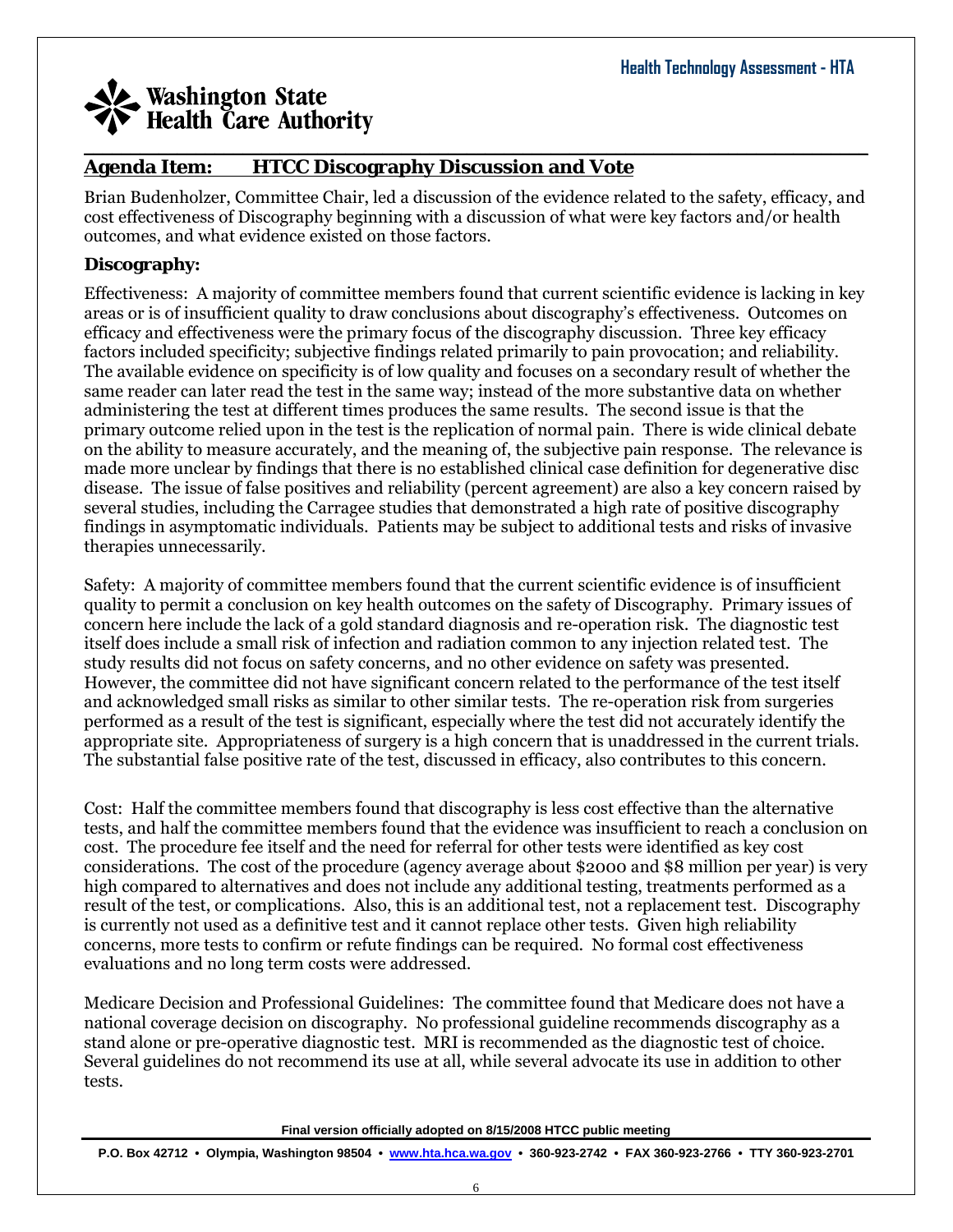#### $\_$  , and the set of the set of the set of the set of the set of the set of the set of the set of the set of the set of the set of the set of the set of the set of the set of the set of the set of the set of the set of th **Agenda Item: HTCC Discography Discussion and Vote**

Brian Budenholzer, Committee Chair, led a discussion of the evidence related to the safety, efficacy, and cost effectiveness of Discography beginning with a discussion of what were key factors and/or health outcomes, and what evidence existed on those factors.

#### **Discography:**

Effectiveness: A majority of committee members found that current scientific evidence is lacking in key areas or is of insufficient quality to draw conclusions about discography's effectiveness. Outcomes on efficacy and effectiveness were the primary focus of the discography discussion. Three key efficacy factors included specificity; subjective findings related primarily to pain provocation; and reliability. The available evidence on specificity is of low quality and focuses on a secondary result of whether the same reader can later read the test in the same way; instead of the more substantive data on whether administering the test at different times produces the same results. The second issue is that the primary outcome relied upon in the test is the replication of normal pain. There is wide clinical debate on the ability to measure accurately, and the meaning of, the subjective pain response. The relevance is made more unclear by findings that there is no established clinical case definition for degenerative disc disease. The issue of false positives and reliability (percent agreement) are also a key concern raised by several studies, including the Carragee studies that demonstrated a high rate of positive discography findings in asymptomatic individuals. Patients may be subject to additional tests and risks of invasive therapies unnecessarily.

Safety: A majority of committee members found that the current scientific evidence is of insufficient quality to permit a conclusion on key health outcomes on the safety of Discography. Primary issues of concern here include the lack of a gold standard diagnosis and re-operation risk. The diagnostic test itself does include a small risk of infection and radiation common to any injection related test. The study results did not focus on safety concerns, and no other evidence on safety was presented. However, the committee did not have significant concern related to the performance of the test itself and acknowledged small risks as similar to other similar tests. The re-operation risk from surgeries performed as a result of the test is significant, especially where the test did not accurately identify the appropriate site. Appropriateness of surgery is a high concern that is unaddressed in the current trials. The substantial false positive rate of the test, discussed in efficacy, also contributes to this concern.

Cost: Half the committee members found that discography is less cost effective than the alternative tests, and half the committee members found that the evidence was insufficient to reach a conclusion on cost. The procedure fee itself and the need for referral for other tests were identified as key cost considerations. The cost of the procedure (agency average about \$2000 and \$8 million per year) is very high compared to alternatives and does not include any additional testing, treatments performed as a result of the test, or complications. Also, this is an additional test, not a replacement test. Discography is currently not used as a definitive test and it cannot replace other tests. Given high reliability concerns, more tests to confirm or refute findings can be required. No formal cost effectiveness evaluations and no long term costs were addressed.

Medicare Decision and Professional Guidelines: The committee found that Medicare does not have a national coverage decision on discography. No professional guideline recommends discography as a stand alone or pre-operative diagnostic test. MRI is recommended as the diagnostic test of choice. Several guidelines do not recommend its use at all, while several advocate its use in addition to other tests.

**Final version officially adopted on 8/15/2008 HTCC public meeting**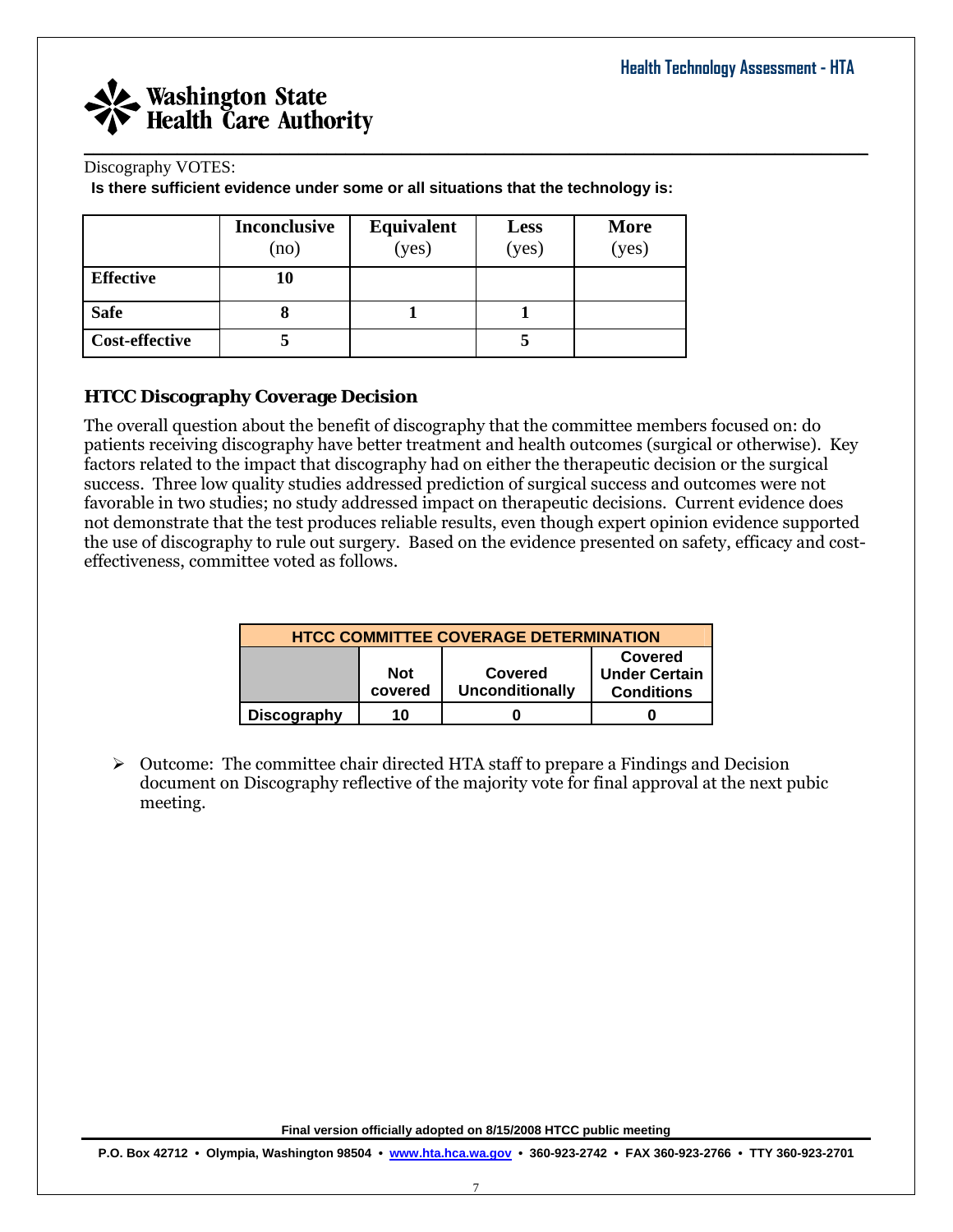

#### Discography VOTES:

**Is there sufficient evidence under some or all situations that the technology is:** 

|                       | <b>Inconclusive</b><br>(no) | <b>Equivalent</b><br>( <b>yes</b> ) | <b>Less</b><br>(yes) | More<br>(yes) |
|-----------------------|-----------------------------|-------------------------------------|----------------------|---------------|
| <b>Effective</b>      |                             |                                     |                      |               |
| <b>Safe</b>           |                             |                                     |                      |               |
| <b>Cost-effective</b> |                             |                                     |                      |               |

#### **HTCC Discography Coverage Decision**

The overall question about the benefit of discography that the committee members focused on: do patients receiving discography have better treatment and health outcomes (surgical or otherwise). Key factors related to the impact that discography had on either the therapeutic decision or the surgical success. Three low quality studies addressed prediction of surgical success and outcomes were not favorable in two studies; no study addressed impact on therapeutic decisions. Current evidence does not demonstrate that the test produces reliable results, even though expert opinion evidence supported the use of discography to rule out surgery. Based on the evidence presented on safety, efficacy and costeffectiveness, committee voted as follows.

| <b>HTCC COMMITTEE COVERAGE DETERMINATION</b>                                                                       |    |  |  |  |  |
|--------------------------------------------------------------------------------------------------------------------|----|--|--|--|--|
| Covered<br><b>Not</b><br>Covered<br><b>Under Certain</b><br><b>Unconditionally</b><br>covered<br><b>Conditions</b> |    |  |  |  |  |
| <b>Discography</b>                                                                                                 | 10 |  |  |  |  |

 $\triangleright$  Outcome: The committee chair directed HTA staff to prepare a Findings and Decision document on Discography reflective of the majority vote for final approval at the next pubic meeting.

**Final version officially adopted on 8/15/2008 HTCC public meeting**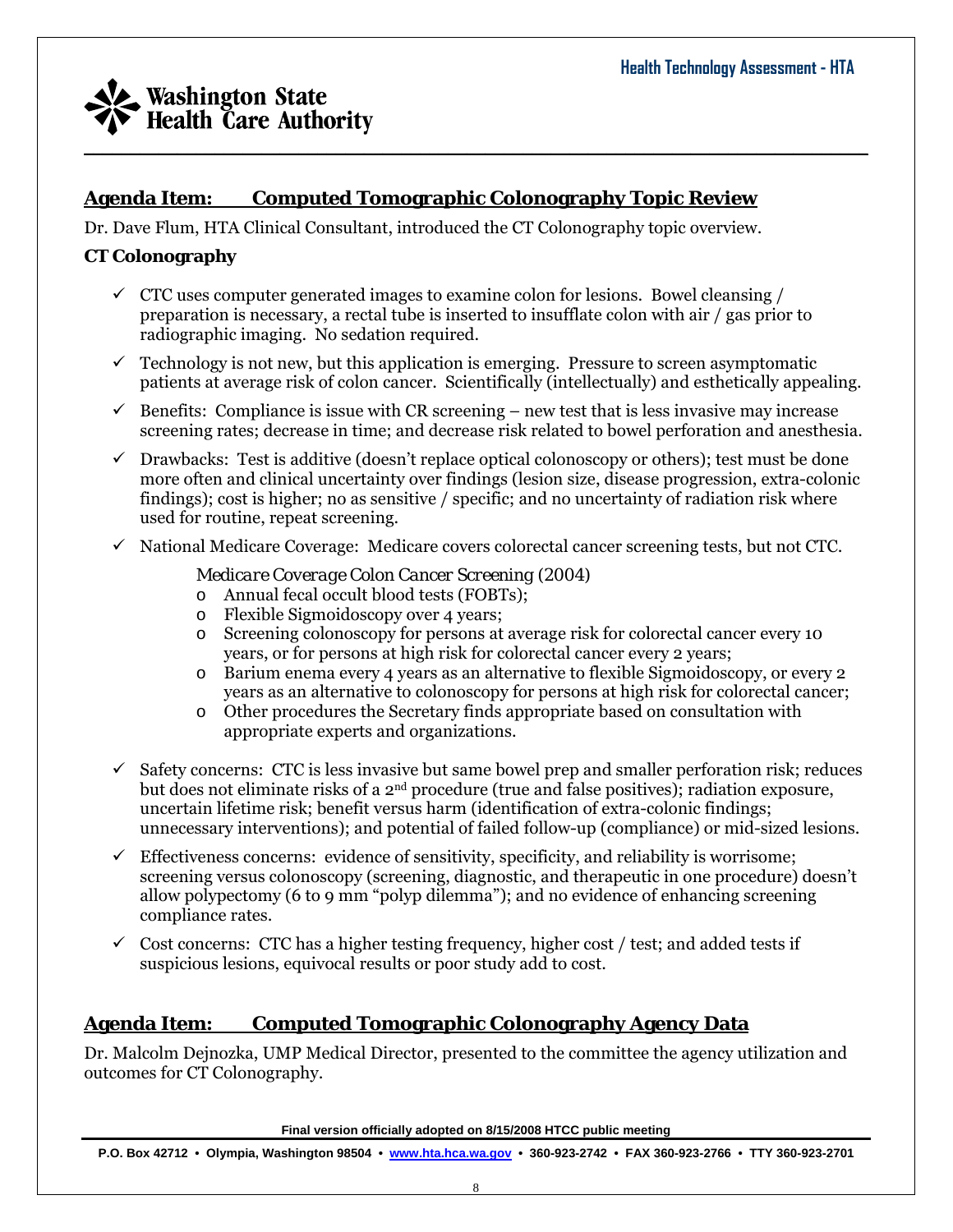### **Agenda Item: Computed Tomographic Colonography Topic Review**

Dr. Dave Flum, HTA Clinical Consultant, introduced the CT Colonography topic overview.

#### **CT Colonography**

 $\checkmark$  CTC uses computer generated images to examine colon for lesions. Bowel cleansing / preparation is necessary, a rectal tube is inserted to insufflate colon with air / gas prior to radiographic imaging. No sedation required.

 $\_$  , and the set of the set of the set of the set of the set of the set of the set of the set of the set of the set of the set of the set of the set of the set of the set of the set of the set of the set of the set of th

- $\checkmark$  Technology is not new, but this application is emerging. Pressure to screen asymptomatic patients at average risk of colon cancer. Scientifically (intellectually) and esthetically appealing.
- $\checkmark$  Benefits: Compliance is issue with CR screening new test that is less invasive may increase screening rates; decrease in time; and decrease risk related to bowel perforation and anesthesia.
- $\checkmark$  Drawbacks: Test is additive (doesn't replace optical colonoscopy or others); test must be done more often and clinical uncertainty over findings (lesion size, disease progression, extra-colonic findings); cost is higher; no as sensitive / specific; and no uncertainty of radiation risk where used for routine, repeat screening.
- $\checkmark$  National Medicare Coverage: Medicare covers colorectal cancer screening tests, but not CTC.

#### *Medicare Coverage Colon Cancer Screening (2004)*

- o Annual fecal occult blood tests (FOBTs);
- o Flexible Sigmoidoscopy over 4 years;
- o Screening colonoscopy for persons at average risk for colorectal cancer every 10 years, or for persons at high risk for colorectal cancer every 2 years;
- o Barium enema every 4 years as an alternative to flexible Sigmoidoscopy, or every 2 years as an alternative to colonoscopy for persons at high risk for colorectal cancer;
- o Other procedures the Secretary finds appropriate based on consultation with appropriate experts and organizations.
- $\checkmark$  Safety concerns: CTC is less invasive but same bowel prep and smaller perforation risk; reduces but does not eliminate risks of a  $2<sup>nd</sup>$  procedure (true and false positives); radiation exposure, uncertain lifetime risk; benefit versus harm (identification of extra-colonic findings; unnecessary interventions); and potential of failed follow-up (compliance) or mid-sized lesions.
- $\checkmark$  Effectiveness concerns: evidence of sensitivity, specificity, and reliability is worrisome; screening versus colonoscopy (screening, diagnostic, and therapeutic in one procedure) doesn't allow polypectomy (6 to 9 mm "polyp dilemma"); and no evidence of enhancing screening compliance rates.
- $\checkmark$  Cost concerns: CTC has a higher testing frequency, higher cost / test; and added tests if suspicious lesions, equivocal results or poor study add to cost.

### **Agenda Item: Computed Tomographic Colonography Agency Data**

Dr. Malcolm Dejnozka, UMP Medical Director, presented to the committee the agency utilization and outcomes for CT Colonography.

**Final version officially adopted on 8/15/2008 HTCC public meeting**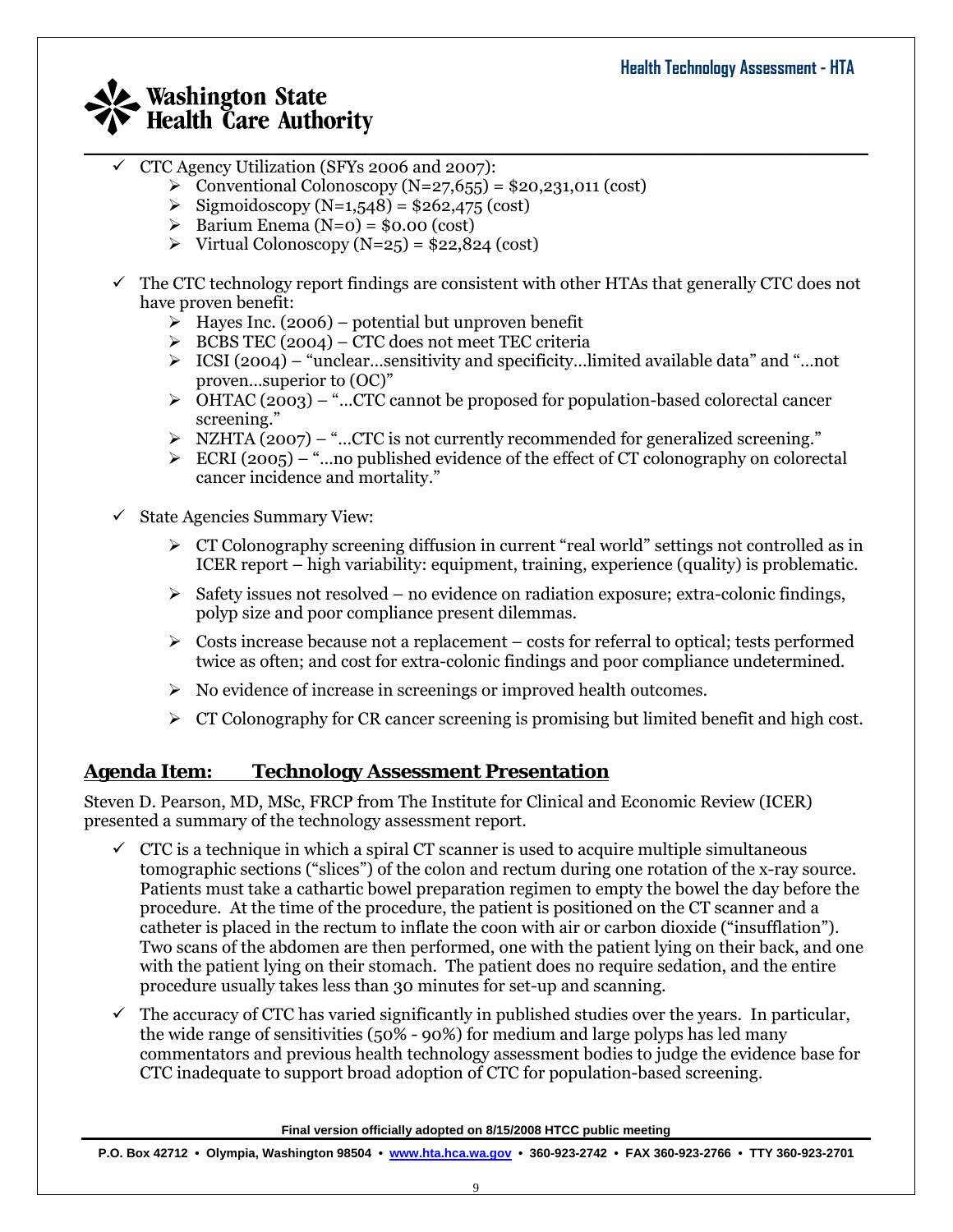- $\checkmark$  CTC Agency Utilization (SFYs 2006 and 2007):
	- $\geq$  Conventional Colonoscopy (N=27,655) = \$20,231,011 (cost)
	- $\triangleright$  Sigmoidoscopy (N=1,548) = \$262,475 (cost)
	- $\triangleright$  Barium Enema (N=0) = \$0.00 (cost)
	- $\triangleright$  Virtual Colonoscopy (N=25) = \$22,824 (cost)
- $\checkmark$  The CTC technology report findings are consistent with other HTAs that generally CTC does not have proven benefit:

 $\_$  , and the set of the set of the set of the set of the set of the set of the set of the set of the set of the set of the set of the set of the set of the set of the set of the set of the set of the set of the set of th

- $\triangleright$  Hayes Inc. (2006) potential but unproven benefit
- $\triangleright$  BCBS TEC (2004) CTC does not meet TEC criteria
- $\triangleright$  ICSI (2004) "unclear...sensitivity and specificity...limited available data" and "...not proven…superior to (OC)"
- $\triangleright$  OHTAC (2003) "...CTC cannot be proposed for population-based colorectal cancer screening."
- $\triangleright$  NZHTA (2007) "...CTC is not currently recommended for generalized screening."
- $\triangleright$  ECRI (2005) "...no published evidence of the effect of CT colonography on colorectal cancer incidence and mortality."
- $\checkmark$  State Agencies Summary View:
	- $\triangleright$  CT Colonography screening diffusion in current "real world" settings not controlled as in ICER report – high variability: equipment, training, experience (quality) is problematic.
	- $\triangleright$  Safety issues not resolved no evidence on radiation exposure; extra-colonic findings, polyp size and poor compliance present dilemmas.
	- $\triangleright$  Costs increase because not a replacement costs for referral to optical; tests performed twice as often; and cost for extra-colonic findings and poor compliance undetermined.
	- $\triangleright$  No evidence of increase in screenings or improved health outcomes.
	- $\triangleright$  CT Colonography for CR cancer screening is promising but limited benefit and high cost.

### **Agenda Item: Technology Assessment Presentation**

Steven D. Pearson, MD, MSc, FRCP from The Institute for Clinical and Economic Review (ICER) presented a summary of the technology assessment report.

- $\checkmark$  CTC is a technique in which a spiral CT scanner is used to acquire multiple simultaneous tomographic sections ("slices") of the colon and rectum during one rotation of the x-ray source. Patients must take a cathartic bowel preparation regimen to empty the bowel the day before the procedure. At the time of the procedure, the patient is positioned on the CT scanner and a catheter is placed in the rectum to inflate the coon with air or carbon dioxide ("insufflation"). Two scans of the abdomen are then performed, one with the patient lying on their back, and one with the patient lying on their stomach. The patient does no require sedation, and the entire procedure usually takes less than 30 minutes for set-up and scanning.
- 9 The accuracy of CTC has varied significantly in published studies over the years. In particular, the wide range of sensitivities (50% - 90%) for medium and large polyps has led many commentators and previous health technology assessment bodies to judge the evidence base for CTC inadequate to support broad adoption of CTC for population-based screening.

**Final version officially adopted on 8/15/2008 HTCC public meeting**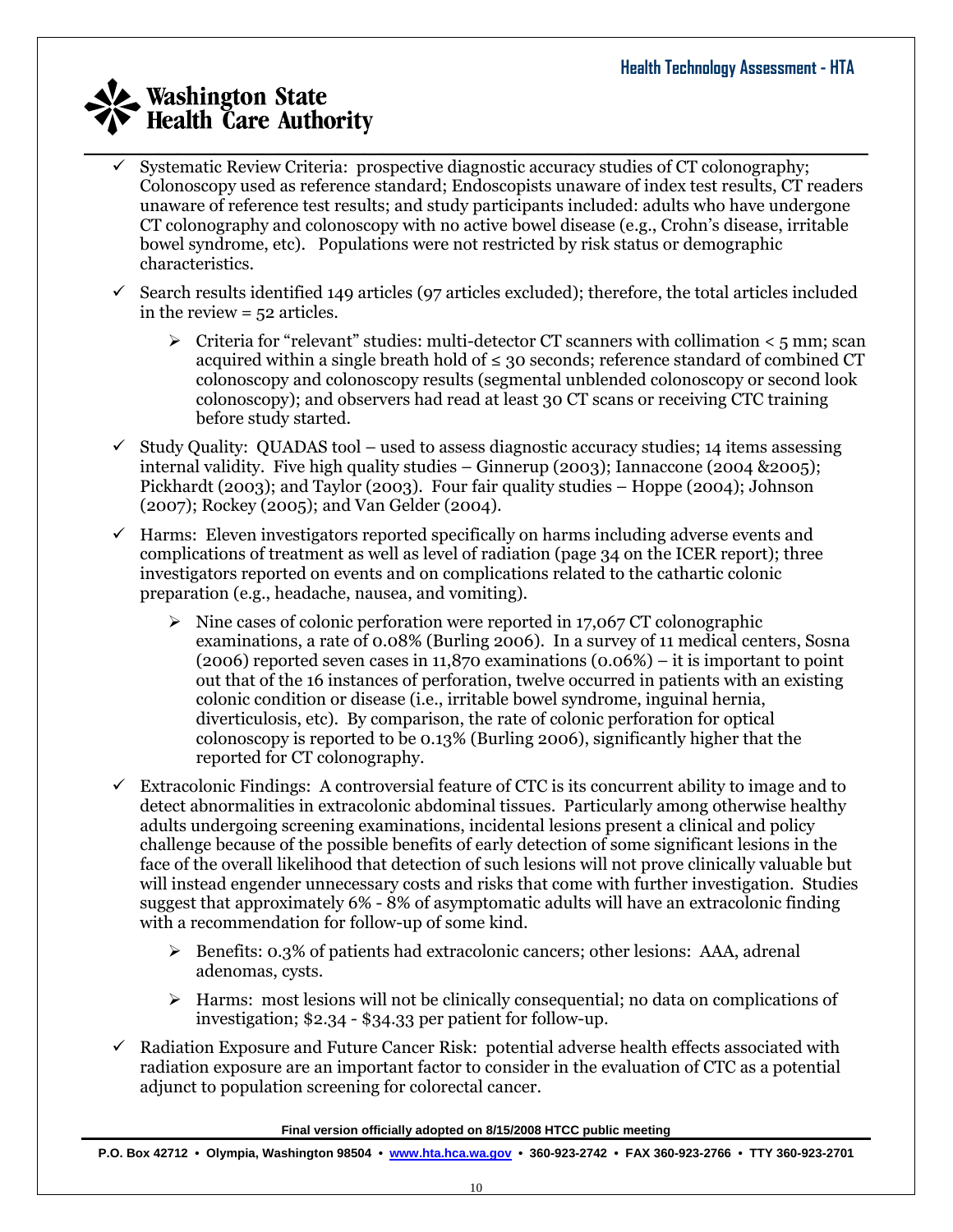- $\_$  , and the set of the set of the set of the set of the set of the set of the set of the set of the set of the set of the set of the set of the set of the set of the set of the set of the set of the set of the set of th 9 Systematic Review Criteria: prospective diagnostic accuracy studies of CT colonography; Colonoscopy used as reference standard; Endoscopists unaware of index test results, CT readers unaware of reference test results; and study participants included: adults who have undergone CT colonography and colonoscopy with no active bowel disease (e.g., Crohn's disease, irritable bowel syndrome, etc). Populations were not restricted by risk status or demographic characteristics.
	- 9 Search results identified 149 articles (97 articles excluded); therefore, the total articles included in the review = 52 articles.
		- $\triangleright$  Criteria for "relevant" studies: multi-detector CT scanners with collimation  $\lt$  5 mm; scan acquired within a single breath hold of  $\leq$  30 seconds; reference standard of combined CT colonoscopy and colonoscopy results (segmental unblended colonoscopy or second look colonoscopy); and observers had read at least 30 CT scans or receiving CTC training before study started.
	- $\checkmark$  Study Quality: QUADAS tool used to assess diagnostic accuracy studies; 14 items assessing internal validity. Five high quality studies – Ginnerup (2003); Iannaccone (2004 &2005); Pickhardt (2003); and Taylor (2003). Four fair quality studies – Hoppe (2004); Johnson (2007); Rockey (2005); and Van Gelder (2004).
	- $\checkmark$  Harms: Eleven investigators reported specifically on harms including adverse events and complications of treatment as well as level of radiation (page 34 on the ICER report); three investigators reported on events and on complications related to the cathartic colonic preparation (e.g., headache, nausea, and vomiting).
		- $\triangleright$  Nine cases of colonic perforation were reported in 17,067 CT colonographic examinations, a rate of 0.08% (Burling 2006). In a survey of 11 medical centers, Sosna (2006) reported seven cases in 11,870 examinations (0.06%) – it is important to point out that of the 16 instances of perforation, twelve occurred in patients with an existing colonic condition or disease (i.e., irritable bowel syndrome, inguinal hernia, diverticulosis, etc). By comparison, the rate of colonic perforation for optical colonoscopy is reported to be 0.13% (Burling 2006), significantly higher that the reported for CT colonography.
	- $\checkmark$  Extracolonic Findings: A controversial feature of CTC is its concurrent ability to image and to detect abnormalities in extracolonic abdominal tissues. Particularly among otherwise healthy adults undergoing screening examinations, incidental lesions present a clinical and policy challenge because of the possible benefits of early detection of some significant lesions in the face of the overall likelihood that detection of such lesions will not prove clinically valuable but will instead engender unnecessary costs and risks that come with further investigation. Studies suggest that approximately 6% - 8% of asymptomatic adults will have an extracolonic finding with a recommendation for follow-up of some kind.
		- $\triangleright$  Benefits: 0.3% of patients had extracolonic cancers; other lesions: AAA, adrenal adenomas, cysts.
		- $\triangleright$  Harms: most lesions will not be clinically consequential; no data on complications of investigation; \$2.34 - \$34.33 per patient for follow-up.
	- 9 Radiation Exposure and Future Cancer Risk: potential adverse health effects associated with radiation exposure are an important factor to consider in the evaluation of CTC as a potential adjunct to population screening for colorectal cancer.

**Final version officially adopted on 8/15/2008 HTCC public meeting**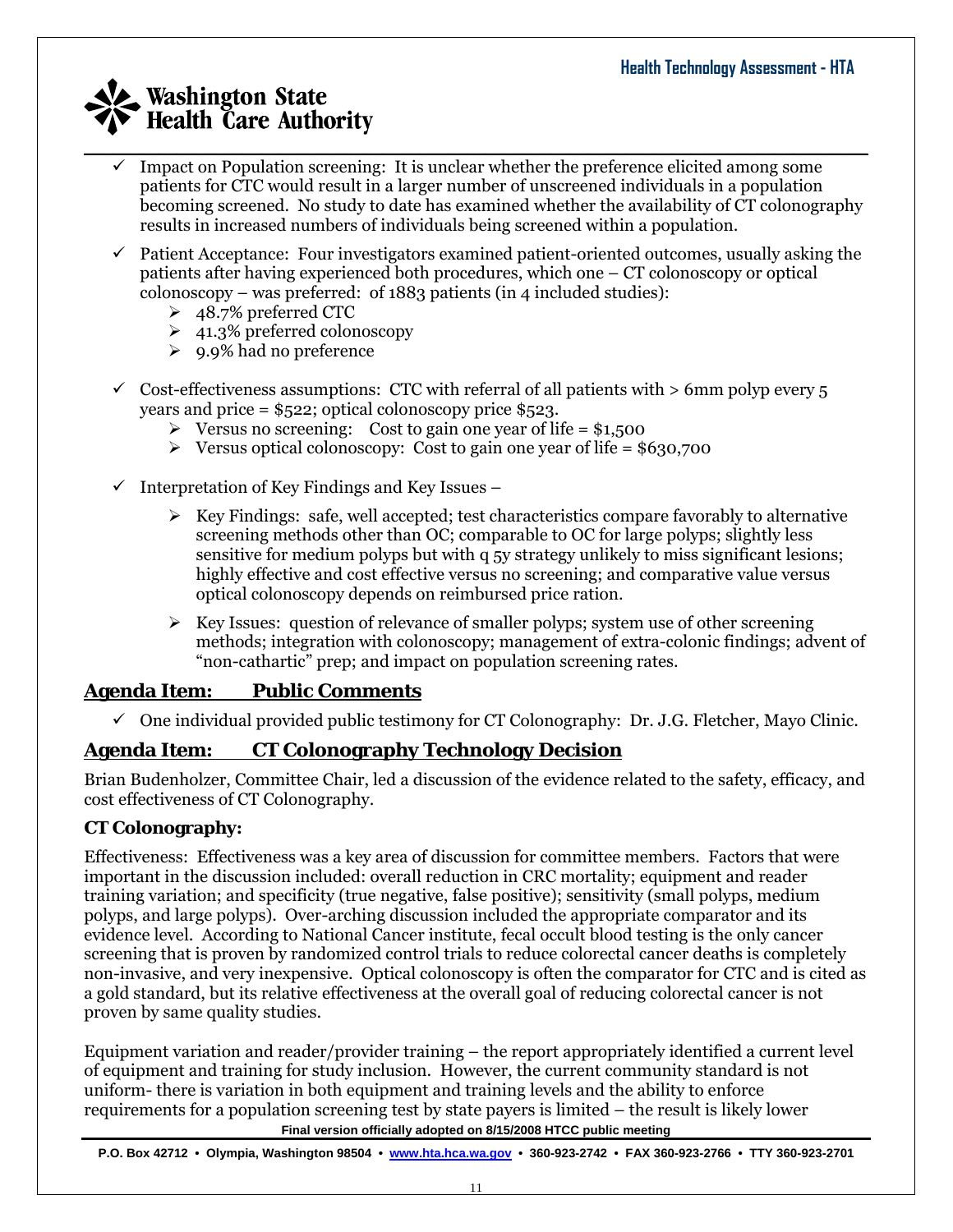- $\_$  , and the set of the set of the set of the set of the set of the set of the set of the set of the set of the set of the set of the set of the set of the set of the set of the set of the set of the set of the set of th Impact on Population screening: It is unclear whether the preference elicited among some patients for CTC would result in a larger number of unscreened individuals in a population becoming screened. No study to date has examined whether the availability of CT colonography results in increased numbers of individuals being screened within a population.
	- $\checkmark$  Patient Acceptance: Four investigators examined patient-oriented outcomes, usually asking the patients after having experienced both procedures, which one – CT colonoscopy or optical colonoscopy – was preferred: of 1883 patients (in 4 included studies):
		- ¾ 48.7% preferred CTC
		- $\geq 41.3\%$  preferred colonoscopy
		- $\geq 9.9\%$  had no preference
	- $\checkmark$  Cost-effectiveness assumptions: CTC with referral of all patients with  $> 6$ mm polyp every 5 years and price = \$522; optical colonoscopy price \$523.
		- $\triangleright$  Versus no screening: Cost to gain one year of life = \$1,500
		- $\triangleright$  Versus optical colonoscopy: Cost to gain one year of life = \$630,700
	- $\checkmark$  Interpretation of Key Findings and Key Issues
		- $\triangleright$  Key Findings: safe, well accepted; test characteristics compare favorably to alternative screening methods other than OC; comparable to OC for large polyps; slightly less sensitive for medium polyps but with q 5y strategy unlikely to miss significant lesions; highly effective and cost effective versus no screening; and comparative value versus optical colonoscopy depends on reimbursed price ration.
		- $\triangleright$  Key Issues: question of relevance of smaller polyps; system use of other screening methods; integration with colonoscopy; management of extra-colonic findings; advent of "non-cathartic" prep; and impact on population screening rates.

### **Agenda Item: Public Comments**

 $\checkmark$  One individual provided public testimony for CT Colonography: Dr. J.G. Fletcher, Mayo Clinic.

## **Agenda Item: CT Colonography Technology Decision**

Brian Budenholzer, Committee Chair, led a discussion of the evidence related to the safety, efficacy, and cost effectiveness of CT Colonography.

### **CT Colonography:**

Effectiveness: Effectiveness was a key area of discussion for committee members. Factors that were important in the discussion included: overall reduction in CRC mortality; equipment and reader training variation; and specificity (true negative, false positive); sensitivity (small polyps, medium polyps, and large polyps). Over-arching discussion included the appropriate comparator and its evidence level. According to National Cancer institute, fecal occult blood testing is the only cancer screening that is proven by randomized control trials to reduce colorectal cancer deaths is completely non-invasive, and very inexpensive. Optical colonoscopy is often the comparator for CTC and is cited as a gold standard, but its relative effectiveness at the overall goal of reducing colorectal cancer is not proven by same quality studies.

Equipment variation and reader/provider training – the report appropriately identified a current level of equipment and training for study inclusion. However, the current community standard is not uniform- there is variation in both equipment and training levels and the ability to enforce requirements for a population screening test by state payers is limited – the result is likely lower

**Final version officially adopted on 8/15/2008 HTCC public meeting**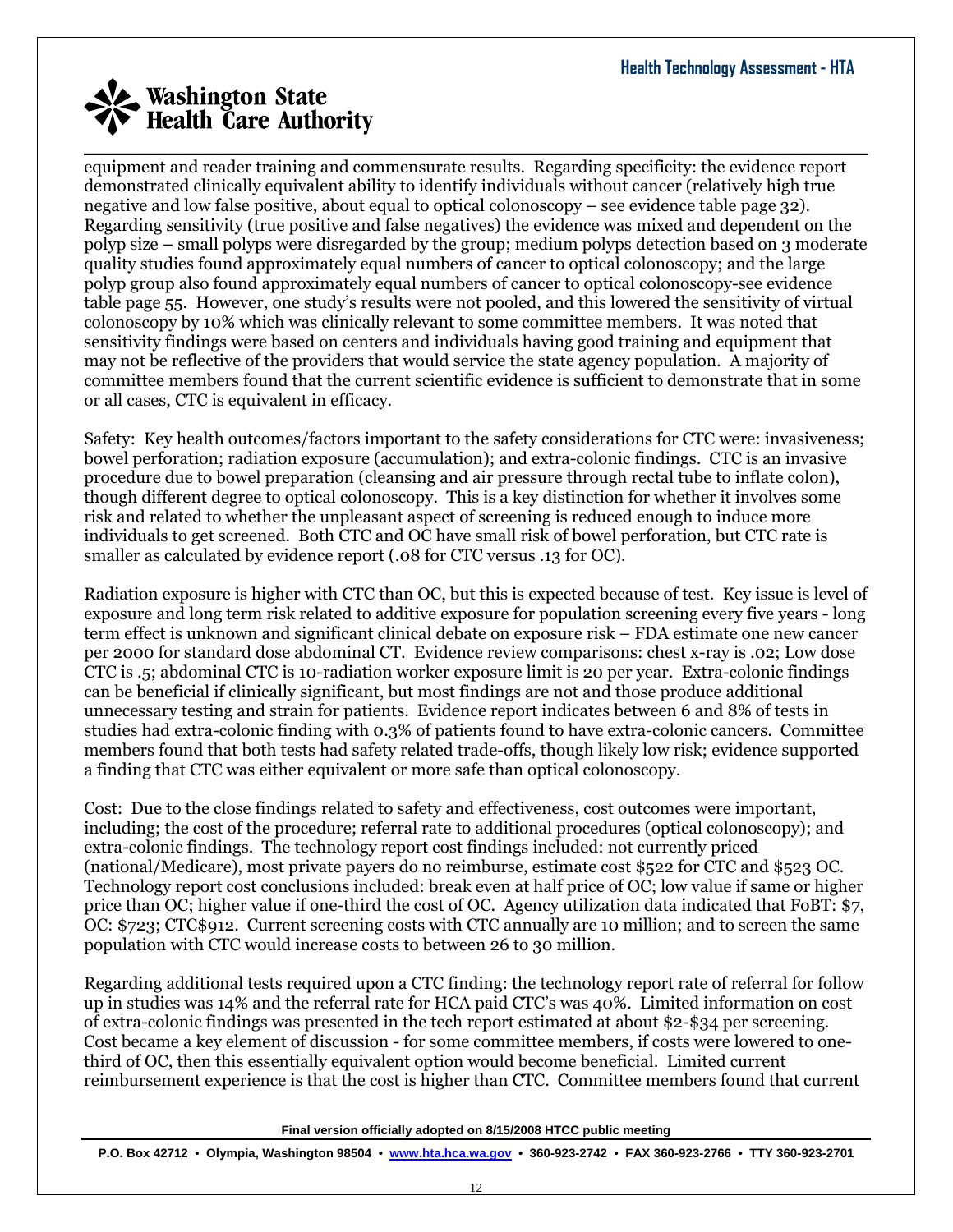$\_$  , and the set of the set of the set of the set of the set of the set of the set of the set of the set of the set of the set of the set of the set of the set of the set of the set of the set of the set of the set of th equipment and reader training and commensurate results. Regarding specificity: the evidence report demonstrated clinically equivalent ability to identify individuals without cancer (relatively high true negative and low false positive, about equal to optical colonoscopy – see evidence table page 32). Regarding sensitivity (true positive and false negatives) the evidence was mixed and dependent on the polyp size – small polyps were disregarded by the group; medium polyps detection based on 3 moderate quality studies found approximately equal numbers of cancer to optical colonoscopy; and the large polyp group also found approximately equal numbers of cancer to optical colonoscopy-see evidence table page 55. However, one study's results were not pooled, and this lowered the sensitivity of virtual colonoscopy by 10% which was clinically relevant to some committee members. It was noted that sensitivity findings were based on centers and individuals having good training and equipment that may not be reflective of the providers that would service the state agency population. A majority of committee members found that the current scientific evidence is sufficient to demonstrate that in some or all cases, CTC is equivalent in efficacy.

Safety: Key health outcomes/factors important to the safety considerations for CTC were: invasiveness; bowel perforation; radiation exposure (accumulation); and extra-colonic findings. CTC is an invasive procedure due to bowel preparation (cleansing and air pressure through rectal tube to inflate colon), though different degree to optical colonoscopy. This is a key distinction for whether it involves some risk and related to whether the unpleasant aspect of screening is reduced enough to induce more individuals to get screened. Both CTC and OC have small risk of bowel perforation, but CTC rate is smaller as calculated by evidence report (.08 for CTC versus .13 for OC).

Radiation exposure is higher with CTC than OC, but this is expected because of test. Key issue is level of exposure and long term risk related to additive exposure for population screening every five years - long term effect is unknown and significant clinical debate on exposure risk – FDA estimate one new cancer per 2000 for standard dose abdominal CT. Evidence review comparisons: chest x-ray is .02; Low dose CTC is .5; abdominal CTC is 10-radiation worker exposure limit is 20 per year. Extra-colonic findings can be beneficial if clinically significant, but most findings are not and those produce additional unnecessary testing and strain for patients. Evidence report indicates between 6 and 8% of tests in studies had extra-colonic finding with 0.3% of patients found to have extra-colonic cancers. Committee members found that both tests had safety related trade-offs, though likely low risk; evidence supported a finding that CTC was either equivalent or more safe than optical colonoscopy.

Cost: Due to the close findings related to safety and effectiveness, cost outcomes were important, including; the cost of the procedure; referral rate to additional procedures (optical colonoscopy); and extra-colonic findings. The technology report cost findings included: not currently priced (national/Medicare), most private payers do no reimburse, estimate cost \$522 for CTC and \$523 OC. Technology report cost conclusions included: break even at half price of OC; low value if same or higher price than OC; higher value if one-third the cost of OC. Agency utilization data indicated that FoBT: \$7, OC: \$723; CTC\$912. Current screening costs with CTC annually are 10 million; and to screen the same population with CTC would increase costs to between 26 to 30 million.

Regarding additional tests required upon a CTC finding: the technology report rate of referral for follow up in studies was 14% and the referral rate for HCA paid CTC's was 40%. Limited information on cost of extra-colonic findings was presented in the tech report estimated at about \$2-\$34 per screening. Cost became a key element of discussion - for some committee members, if costs were lowered to onethird of OC, then this essentially equivalent option would become beneficial. Limited current reimbursement experience is that the cost is higher than CTC. Committee members found that current

**Final version officially adopted on 8/15/2008 HTCC public meeting**